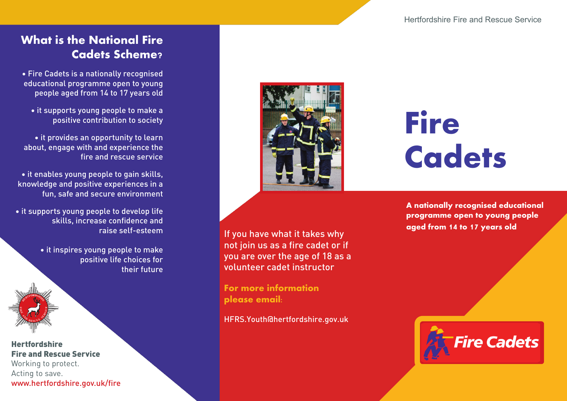# **What is the National Fire Cadets Scheme?**

• Fire Cadets is a nationally recognised educational programme open to young people aged from 14 to 17 years old

• it supports young people to make a positive contribution to society

• it provides an opportunity to learn about, engage with and experience the fire and rescue service

• it enables young people to gain skills, knowledge and positive experiences in a fun, safe and secure environment

• it supports young people to develop life skills, increase confidence and raise self-esteem

> • it inspires young people to make positive life choices for their future





If you have what it takes why not join us as a fire cadet or if you are over the age of 18 as a volunteer cadet instructor

**For more information please email:**

HFRS.Youth@hertfordshire.gov.uk

# **Fire Cadets**

**A nationally recognised educational programme open to young people aged from 14 to 17 years old**